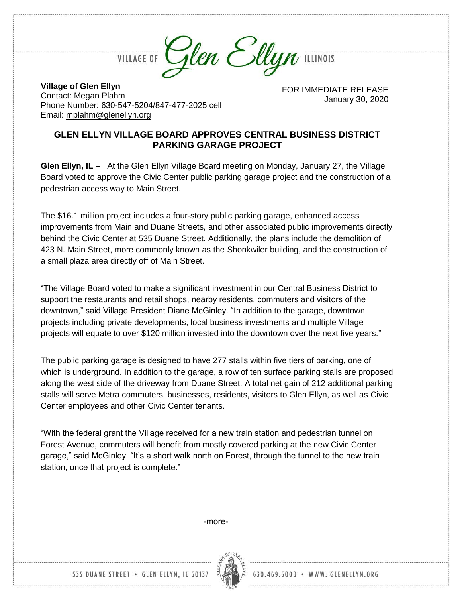

**VILLAGE OF** 

**Village of Glen Ellyn** Contact: Megan Plahm Phone Number: 630-547-5204/847-477-2025 cell Email: [mplahm@glenellyn.org](mailto:mplahm@glenellyn.org)

FOR IMMEDIATE RELEASE January 30, 2020

## **GLEN ELLYN VILLAGE BOARD APPROVES CENTRAL BUSINESS DISTRICT PARKING GARAGE PROJECT**

**Glen Ellyn, IL –** At the Glen Ellyn Village Board meeting on Monday, January 27, the Village Board voted to approve the Civic Center public parking garage project and the construction of a pedestrian access way to Main Street.

The \$16.1 million project includes a four-story public parking garage, enhanced access improvements from Main and Duane Streets, and other associated public improvements directly behind the Civic Center at 535 Duane Street. Additionally, the plans include the demolition of 423 N. Main Street, more commonly known as the Shonkwiler building, and the construction of a small plaza area directly off of Main Street.

"The Village Board voted to make a significant investment in our Central Business District to support the restaurants and retail shops, nearby residents, commuters and visitors of the downtown," said Village President Diane McGinley. "In addition to the garage, downtown projects including private developments, local business investments and multiple Village projects will equate to over \$120 million invested into the downtown over the next five years."

The public parking garage is designed to have 277 stalls within five tiers of parking, one of which is underground. In addition to the garage, a row of ten surface parking stalls are proposed along the west side of the driveway from Duane Street. A total net gain of 212 additional parking stalls will serve Metra commuters, businesses, residents, visitors to Glen Ellyn, as well as Civic Center employees and other Civic Center tenants.

"With the federal grant the Village received for a new train station and pedestrian tunnel on Forest Avenue, commuters will benefit from mostly covered parking at the new Civic Center garage," said McGinley. "It's a short walk north on Forest, through the tunnel to the new train station, once that project is complete."

-more-